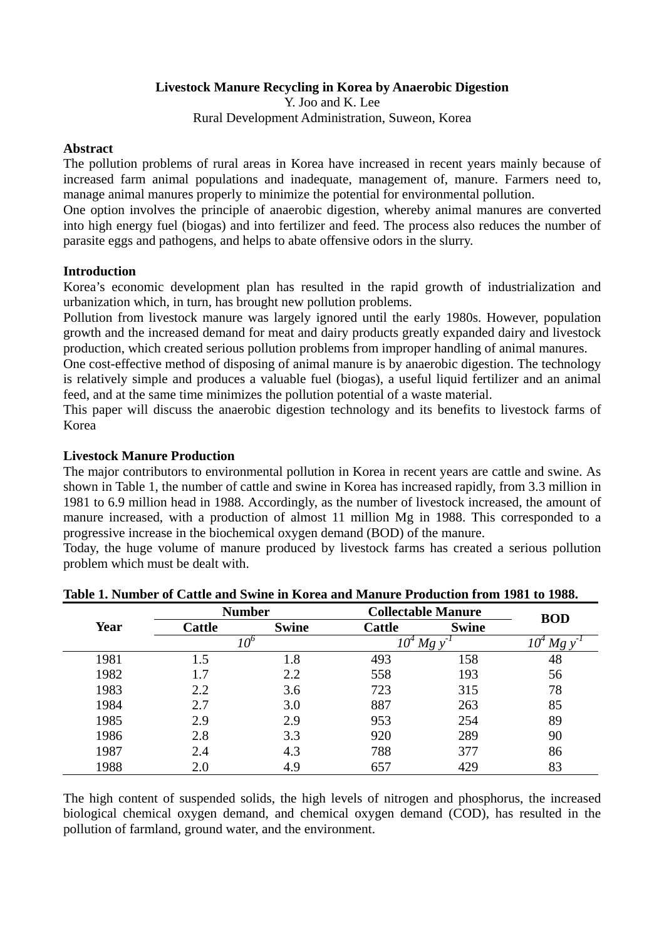# **Livestock Manure Recycling in Korea by Anaerobic Digestion**

Y. Joo and K. Lee Rural Development Administration, Suweon, Korea

### **Abstract**

The pollution problems of rural areas in Korea have increased in recent years mainly because of increased farm animal populations and inadequate, management of, manure. Farmers need to, manage animal manures properly to minimize the potential for environmental pollution.

One option involves the principle of anaerobic digestion, whereby animal manures are converted into high energy fuel (biogas) and into fertilizer and feed. The process also reduces the number of parasite eggs and pathogens, and helps to abate offensive odors in the slurry.

# **Introduction**

Korea's economic development plan has resulted in the rapid growth of industrialization and urbanization which, in turn, has brought new pollution problems.

Pollution from livestock manure was largely ignored until the early 1980s. However, population growth and the increased demand for meat and dairy products greatly expanded dairy and livestock production, which created serious pollution problems from improper handling of animal manures.

One cost-effective method of disposing of animal manure is by anaerobic digestion. The technology is relatively simple and produces a valuable fuel (biogas), a useful liquid fertilizer and an animal feed, and at the same time minimizes the pollution potential of a waste material.

This paper will discuss the anaerobic digestion technology and its benefits to livestock farms of Korea

# **Livestock Manure Production**

The major contributors to environmental pollution in Korea in recent years are cattle and swine. As shown in Table 1, the number of cattle and swine in Korea has increased rapidly, from 3.3 million in 1981 to 6.9 million head in 1988. Accordingly, as the number of livestock increased, the amount of manure increased, with a production of almost 11 million Mg in 1988. This corresponded to a progressive increase in the biochemical oxygen demand (BOD) of the manure.

Today, the huge volume of manure produced by livestock farms has created a serious pollution problem which must be dealt with.

|      |               | <b>Number</b> |               | <b>Collectable Manure</b> | <b>BOD</b>         |
|------|---------------|---------------|---------------|---------------------------|--------------------|
| Year | <b>Cattle</b> | <b>Swine</b>  | <b>Cattle</b> | <b>Swine</b>              |                    |
|      |               | 10°           | 10*           | Mg y                      | $10^{\circ}$<br>Mg |
| 1981 | 1.5           | 1.8           | 493           | 158                       | 48                 |
| 1982 | 1.7           | 2.2           | 558           | 193                       | 56                 |
| 1983 | 2.2           | 3.6           | 723           | 315                       | 78                 |
| 1984 | 2.7           | 3.0           | 887           | 263                       | 85                 |
| 1985 | 2.9           | 2.9           | 953           | 254                       | 89                 |
| 1986 | 2.8           | 3.3           | 920           | 289                       | 90                 |
| 1987 | 2.4           | 4.3           | 788           | 377                       | 86                 |
| 1988 | 2.0           | 4.9           | 657           | 429                       | 83                 |

**Table 1. Number of Cattle and Swine in Korea and Manure Production from 1981 to 1988.** 

The high content of suspended solids, the high levels of nitrogen and phosphorus, the increased biological chemical oxygen demand, and chemical oxygen demand (COD), has resulted in the pollution of farmland, ground water, and the environment.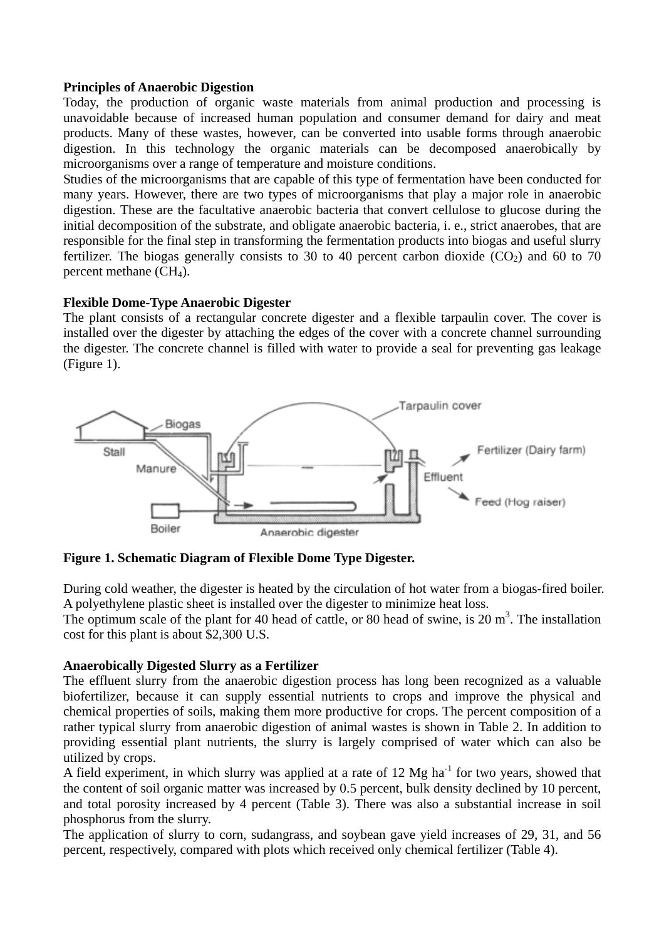# **Principles of Anaerobic Digestion**

Today, the production of organic waste materials from animal production and processing is unavoidable because of increased human population and consumer demand for dairy and meat products. Many of these wastes, however, can be converted into usable forms through anaerobic digestion. In this technology the organic materials can be decomposed anaerobically by microorganisms over a range of temperature and moisture conditions.

Studies of the microorganisms that are capable of this type of fermentation have been conducted for many years. However, there are two types of microorganisms that play a major role in anaerobic digestion. These are the facultative anaerobic bacteria that convert cellulose to glucose during the initial decomposition of the substrate, and obligate anaerobic bacteria, i. e., strict anaerobes, that are responsible for the final step in transforming the fermentation products into biogas and useful slurry fertilizer. The biogas generally consists to 30 to 40 percent carbon dioxide  $(CO_2)$  and 60 to 70 percent methane  $(CH<sub>4</sub>)$ .

# **Flexible Dome-Type Anaerobic Digester**

The plant consists of a rectangular concrete digester and a flexible tarpaulin cover. The cover is installed over the digester by attaching the edges of the cover with a concrete channel surrounding the digester. The concrete channel is filled with water to provide a seal for preventing gas leakage (Figure 1).



**Figure 1. Schematic Diagram of Flexible Dome Type Digester.** 

During cold weather, the digester is heated by the circulation of hot water from a biogas-fired boiler. A polyethylene plastic sheet is installed over the digester to minimize heat loss.

The optimum scale of the plant for 40 head of cattle, or 80 head of swine, is 20  $m<sup>3</sup>$ . The installation cost for this plant is about \$2,300 U.S.

### **Anaerobically Digested Slurry as a Fertilizer**

The effluent slurry from the anaerobic digestion process has long been recognized as a valuable biofertilizer, because it can supply essential nutrients to crops and improve the physical and chemical properties of soils, making them more productive for crops. The percent composition of a rather typical slurry from anaerobic digestion of animal wastes is shown in Table 2. In addition to providing essential plant nutrients, the slurry is largely comprised of water which can also be utilized by crops.

A field experiment, in which slurry was applied at a rate of  $12 \text{ Mg}$  ha<sup>-1</sup> for two years, showed that the content of soil organic matter was increased by 0.5 percent, bulk density declined by 10 percent, and total porosity increased by 4 percent (Table 3). There was also a substantial increase in soil phosphorus from the slurry.

The application of slurry to corn, sudangrass, and soybean gave yield increases of 29, 31, and 56 percent, respectively, compared with plots which received only chemical fertilizer (Table 4).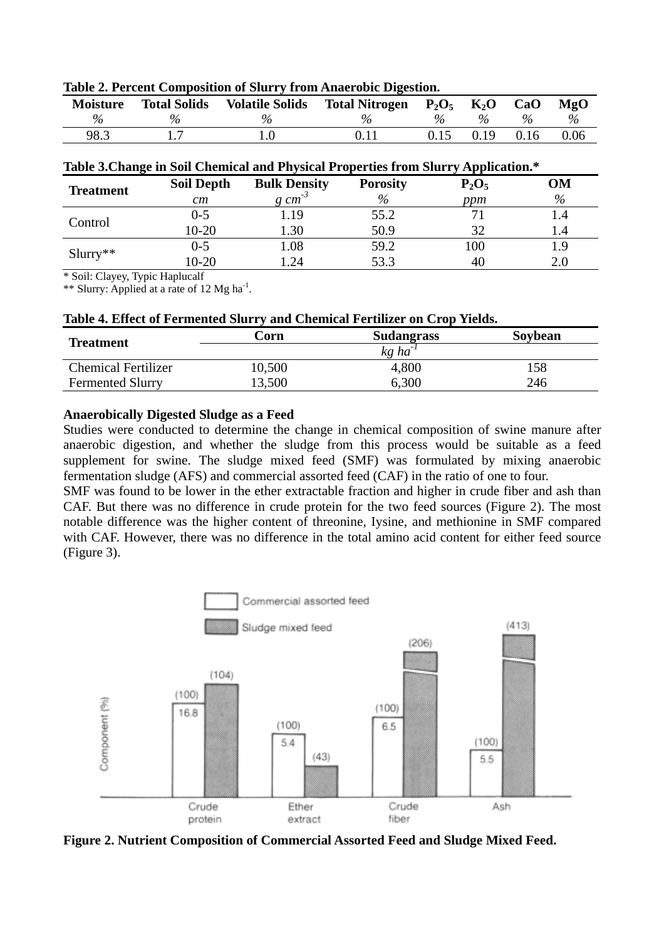| <b>Moisture</b> | <b>Total Solids</b> | <b>Volatile Solids</b> | <b>Total Nitrogen</b> | $P_2O_5$      | $K_2O$ | CaO  | MgO  |
|-----------------|---------------------|------------------------|-----------------------|---------------|--------|------|------|
| $\%$            | $\%$                | $\%$                   | $\%$                  | $\frac{0}{6}$ |        | $\%$ | $\%$ |
| 98.3            |                     |                        |                       | 0.15          | 0.19   | 0.16 | 0.06 |

**Table 2. Percent Composition of Slurry from Anaerobic Digestion.** 

| Table 3. Change in Soil Chemical and Physical Properties from Slurry Application.* |                   |                     |                 |          |      |  |
|------------------------------------------------------------------------------------|-------------------|---------------------|-----------------|----------|------|--|
| <b>Treatment</b>                                                                   | <b>Soil Depth</b> | <b>Bulk Density</b> | <b>Porosity</b> | $P_2O_5$ | OМ   |  |
|                                                                                    | cm                | $g \, cm^{-3}$      | $\%$            | ppm      | $\%$ |  |
| Control                                                                            | $0 - 5$           | .19                 | 55.2            |          |      |  |
|                                                                                    | $10-20$           | l.30                | 50.9            | 32       | l.4  |  |
|                                                                                    | $0 - 5$           | .08                 | 59.2            | 100      | .9   |  |
| $Slurry**$                                                                         | $10-20$           | .24                 | 53.3            | 40       | 2.0  |  |

\* Soil: Clayey, Typic Haplucalf

\*\* Slurry: Applied at a rate of 12 Mg ha<sup>-1</sup>.

|  | Table 4. Effect of Fermented Slurry and Chemical Fertilizer on Crop Yields. |  |  |  |
|--|-----------------------------------------------------------------------------|--|--|--|
|--|-----------------------------------------------------------------------------|--|--|--|

| <b>Treatment</b>           | Corn   | <b>Sudangrass</b> | Soybean |
|----------------------------|--------|-------------------|---------|
|                            |        | $k$ g ha          |         |
| <b>Chemical Fertilizer</b> | 10,500 | 4,800             | .58     |
| <b>Fermented Slurry</b>    | 3,500  | 6,300             | 246     |

# **Anaerobically Digested Sludge as a Feed**

Studies were conducted to determine the change in chemical composition of swine manure after anaerobic digestion, and whether the sludge from this process would be suitable as a feed supplement for swine. The sludge mixed feed (SMF) was formulated by mixing anaerobic fermentation sludge (AFS) and commercial assorted feed (CAF) in the ratio of one to four.

SMF was found to be lower in the ether extractable fraction and higher in crude fiber and ash than CAF. But there was no difference in crude protein for the two feed sources (Figure 2). The most notable difference was the higher content of threonine, Iysine, and methionine in SMF compared with CAF. However, there was no difference in the total amino acid content for either feed source (Figure 3).



**Figure 2. Nutrient Composition of Commercial Assorted Feed and Sludge Mixed Feed.**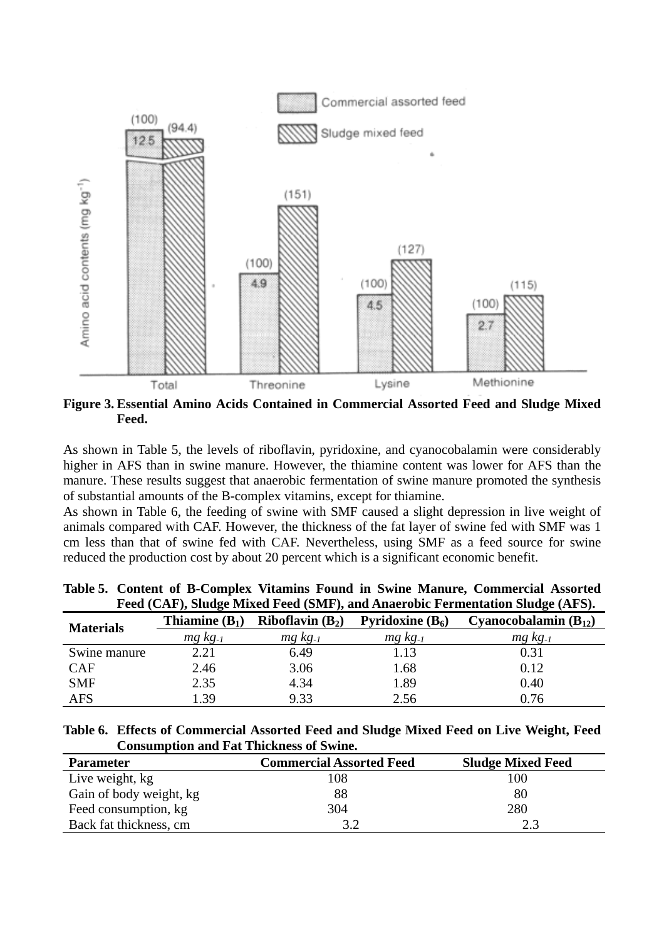

**Figure 3. Essential Amino Acids Contained in Commercial Assorted Feed and Sludge Mixed Feed.**

As shown in Table 5, the levels of riboflavin, pyridoxine, and cyanocobalamin were considerably higher in AFS than in swine manure. However, the thiamine content was lower for AFS than the manure. These results suggest that anaerobic fermentation of swine manure promoted the synthesis of substantial amounts of the B-complex vitamins, except for thiamine.

As shown in Table 6, the feeding of swine with SMF caused a slight depression in live weight of animals compared with CAF. However, the thickness of the fat layer of swine fed with SMF was 1 cm less than that of swine fed with CAF. Nevertheless, using SMF as a feed source for swine reduced the production cost by about 20 percent which is a significant economic benefit.

| Feed (CAF), Sludge Mixed Feed (SMF), and Anaerobic Fermentation Sludge (AFS). |                       |                       |                           |                           |  |  |  |
|-------------------------------------------------------------------------------|-----------------------|-----------------------|---------------------------|---------------------------|--|--|--|
| <b>Materials</b>                                                              | Thiamine $(B_1)$      | Riboflavin $(B_2)$    | <b>Pyridoxine</b> $(B_6)$ | Cyanocobalamin $(B_{12})$ |  |  |  |
|                                                                               | $mg$ kg <sub>-1</sub> | $mg$ kg <sub>-1</sub> | $mg$ $kg_{-1}$            | $mg$ $kg_{-1}$            |  |  |  |
| Swine manure                                                                  | 2.21                  | 6.49                  | 1.13                      | 0.31                      |  |  |  |
| <b>CAF</b>                                                                    | 2.46                  | 3.06                  | 1.68                      | 0.12                      |  |  |  |
| <b>SMF</b>                                                                    | 2.35                  | 4.34                  | 1.89                      | 0.40                      |  |  |  |
| <b>AFS</b>                                                                    | 1.39                  | 9.33                  | 2.56                      | 0.76                      |  |  |  |

**Table 5. Content of B-Complex Vitamins Found in Swine Manure, Commercial Assorted**   $F(\mathcal{O}(\mathbf{F}), \mathcal{O}(\mathbf{F}))$ ,  $\mathbf{F}(\mathbf{F})$ ,  $\mathbf{F}(\mathbf{F})$ ,  $\mathbf{F}(\mathbf{F})$ ,  $\mathbf{F}(\mathbf{F})$ 

**Table 6. Effects of Commercial Assorted Feed and Sludge Mixed Feed on Live Weight, Feed Consumption and Fat Thickness of Swine.** 

| <b>Parameter</b>        | <b>Commercial Assorted Feed</b> | <b>Sludge Mixed Feed</b> |
|-------------------------|---------------------------------|--------------------------|
| Live weight, kg         | 108                             | 100                      |
| Gain of body weight, kg | 88                              | 80                       |
| Feed consumption, kg    | 304                             | 280                      |
| Back fat thickness, cm  |                                 | <u>າ 2</u>               |